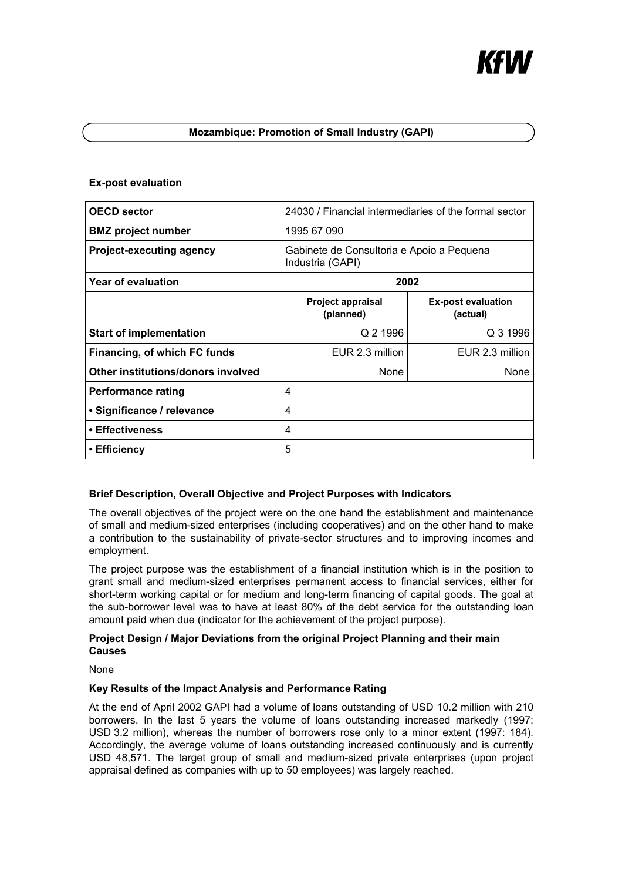# **Mozambique: Promotion of Small Industry (GAPI)**

## **Ex-post evaluation**

| <b>OECD sector</b>                 | 24030 / Financial intermediaries of the formal sector         |                                       |
|------------------------------------|---------------------------------------------------------------|---------------------------------------|
| <b>BMZ</b> project number          | 1995 67 090                                                   |                                       |
| <b>Project-executing agency</b>    | Gabinete de Consultoria e Apoio a Pequena<br>Industria (GAPI) |                                       |
| Year of evaluation                 | 2002                                                          |                                       |
|                                    | <b>Project appraisal</b><br>(planned)                         | <b>Ex-post evaluation</b><br>(actual) |
| <b>Start of implementation</b>     | Q 2 1996                                                      | Q 3 1996                              |
| Financing, of which FC funds       | EUR 2.3 million                                               | EUR 2.3 million                       |
| Other institutions/donors involved | <b>None</b>                                                   | None                                  |
| Performance rating                 | 4                                                             |                                       |
| · Significance / relevance         | 4                                                             |                                       |
| • Effectiveness                    | 4                                                             |                                       |
| • Efficiency                       | 5                                                             |                                       |

## **Brief Description, Overall Objective and Project Purposes with Indicators**

The overall objectives of the project were on the one hand the establishment and maintenance of small and medium-sized enterprises (including cooperatives) and on the other hand to make a contribution to the sustainability of private-sector structures and to improving incomes and employment.

The project purpose was the establishment of a financial institution which is in the position to grant small and medium-sized enterprises permanent access to financial services, either for short-term working capital or for medium and long-term financing of capital goods. The goal at the sub-borrower level was to have at least 80% of the debt service for the outstanding loan amount paid when due (indicator for the achievement of the project purpose).

## **Project Design / Major Deviations from the original Project Planning and their main Causes**

None

## **Key Results of the Impact Analysis and Performance Rating**

At the end of April 2002 GAPI had a volume of loans outstanding of USD 10.2 million with 210 borrowers. In the last 5 years the volume of loans outstanding increased markedly (1997: USD 3.2 million), whereas the number of borrowers rose only to a minor extent (1997: 184). Accordingly, the average volume of loans outstanding increased continuously and is currently USD 48,571. The target group of small and medium-sized private enterprises (upon project appraisal defined as companies with up to 50 employees) was largely reached.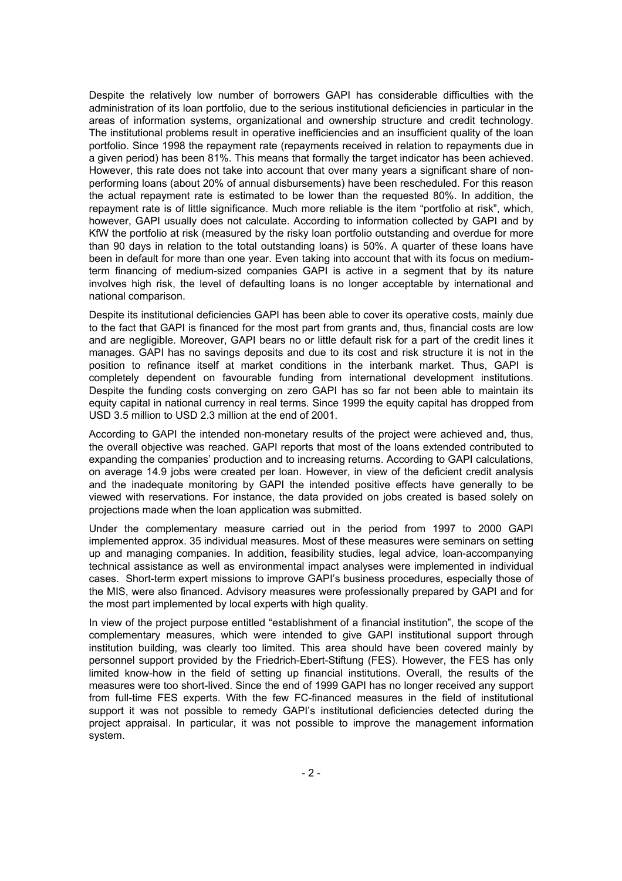Despite the relatively low number of borrowers GAPI has considerable difficulties with the administration of its loan portfolio, due to the serious institutional deficiencies in particular in the areas of information systems, organizational and ownership structure and credit technology. The institutional problems result in operative inefficiencies and an insufficient quality of the loan portfolio. Since 1998 the repayment rate (repayments received in relation to repayments due in a given period) has been 81%. This means that formally the target indicator has been achieved. However, this rate does not take into account that over many years a significant share of nonperforming loans (about 20% of annual disbursements) have been rescheduled. For this reason the actual repayment rate is estimated to be lower than the requested 80%. In addition, the repayment rate is of little significance. Much more reliable is the item "portfolio at risk", which, however, GAPI usually does not calculate. According to information collected by GAPI and by KfW the portfolio at risk (measured by the risky loan portfolio outstanding and overdue for more than 90 days in relation to the total outstanding loans) is 50%. A quarter of these loans have been in default for more than one year. Even taking into account that with its focus on mediumterm financing of medium-sized companies GAPI is active in a segment that by its nature involves high risk, the level of defaulting loans is no longer acceptable by international and national comparison.

Despite its institutional deficiencies GAPI has been able to cover its operative costs, mainly due to the fact that GAPI is financed for the most part from grants and, thus, financial costs are low and are negligible. Moreover, GAPI bears no or little default risk for a part of the credit lines it manages. GAPI has no savings deposits and due to its cost and risk structure it is not in the position to refinance itself at market conditions in the interbank market. Thus, GAPI is completely dependent on favourable funding from international development institutions. Despite the funding costs converging on zero GAPI has so far not been able to maintain its equity capital in national currency in real terms. Since 1999 the equity capital has dropped from USD 3.5 million to USD 2.3 million at the end of 2001.

According to GAPI the intended non-monetary results of the project were achieved and, thus, the overall objective was reached. GAPI reports that most of the loans extended contributed to expanding the companies' production and to increasing returns. According to GAPI calculations, on average 14.9 jobs were created per loan. However, in view of the deficient credit analysis and the inadequate monitoring by GAPI the intended positive effects have generally to be viewed with reservations. For instance, the data provided on jobs created is based solely on projections made when the loan application was submitted.

Under the complementary measure carried out in the period from 1997 to 2000 GAPI implemented approx. 35 individual measures. Most of these measures were seminars on setting up and managing companies. In addition, feasibility studies, legal advice, loan-accompanying technical assistance as well as environmental impact analyses were implemented in individual cases. Short-term expert missions to improve GAPI's business procedures, especially those of the MIS, were also financed. Advisory measures were professionally prepared by GAPI and for the most part implemented by local experts with high quality.

In view of the project purpose entitled "establishment of a financial institution", the scope of the complementary measures, which were intended to give GAPI institutional support through institution building, was clearly too limited. This area should have been covered mainly by personnel support provided by the Friedrich-Ebert-Stiftung (FES). However, the FES has only limited know-how in the field of setting up financial institutions. Overall, the results of the measures were too short-lived. Since the end of 1999 GAPI has no longer received any support from full-time FES experts. With the few FC-financed measures in the field of institutional support it was not possible to remedy GAPI's institutional deficiencies detected during the project appraisal. In particular, it was not possible to improve the management information system.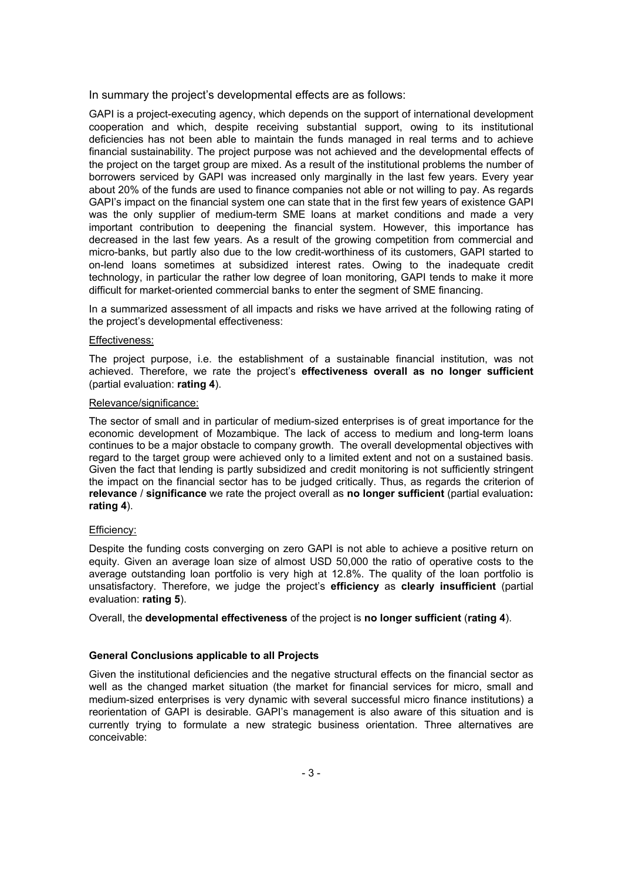In summary the project's developmental effects are as follows:

GAPI is a project-executing agency, which depends on the support of international development cooperation and which, despite receiving substantial support, owing to its institutional deficiencies has not been able to maintain the funds managed in real terms and to achieve financial sustainability. The project purpose was not achieved and the developmental effects of the project on the target group are mixed. As a result of the institutional problems the number of borrowers serviced by GAPI was increased only marginally in the last few years. Every year about 20% of the funds are used to finance companies not able or not willing to pay. As regards GAPI's impact on the financial system one can state that in the first few years of existence GAPI was the only supplier of medium-term SME loans at market conditions and made a very important contribution to deepening the financial system. However, this importance has decreased in the last few years. As a result of the growing competition from commercial and micro-banks, but partly also due to the low credit-worthiness of its customers, GAPI started to on-lend loans sometimes at subsidized interest rates. Owing to the inadequate credit technology, in particular the rather low degree of loan monitoring, GAPI tends to make it more difficult for market-oriented commercial banks to enter the segment of SME financing.

In a summarized assessment of all impacts and risks we have arrived at the following rating of the project's developmental effectiveness:

### Effectiveness:

The project purpose, i.e. the establishment of a sustainable financial institution, was not achieved. Therefore, we rate the project's **effectiveness overall as no longer sufficient**  (partial evaluation: **rating 4**).

### Relevance/significance:

The sector of small and in particular of medium-sized enterprises is of great importance for the economic development of Mozambique. The lack of access to medium and long-term loans continues to be a major obstacle to company growth. The overall developmental objectives with regard to the target group were achieved only to a limited extent and not on a sustained basis. Given the fact that lending is partly subsidized and credit monitoring is not sufficiently stringent the impact on the financial sector has to be judged critically. Thus, as regards the criterion of **relevance** / **significance** we rate the project overall as **no longer sufficient** (partial evaluation**: rating 4**).

### Efficiency:

Despite the funding costs converging on zero GAPI is not able to achieve a positive return on equity. Given an average loan size of almost USD 50,000 the ratio of operative costs to the average outstanding loan portfolio is very high at 12.8%. The quality of the loan portfolio is unsatisfactory. Therefore, we judge the project's **efficiency** as **clearly insufficient** (partial evaluation: **rating 5**).

Overall, the **developmental effectiveness** of the project is **no longer sufficient** (**rating 4**).

### **General Conclusions applicable to all Projects**

Given the institutional deficiencies and the negative structural effects on the financial sector as well as the changed market situation (the market for financial services for micro, small and medium-sized enterprises is very dynamic with several successful micro finance institutions) a reorientation of GAPI is desirable. GAPI's management is also aware of this situation and is currently trying to formulate a new strategic business orientation. Three alternatives are conceivable: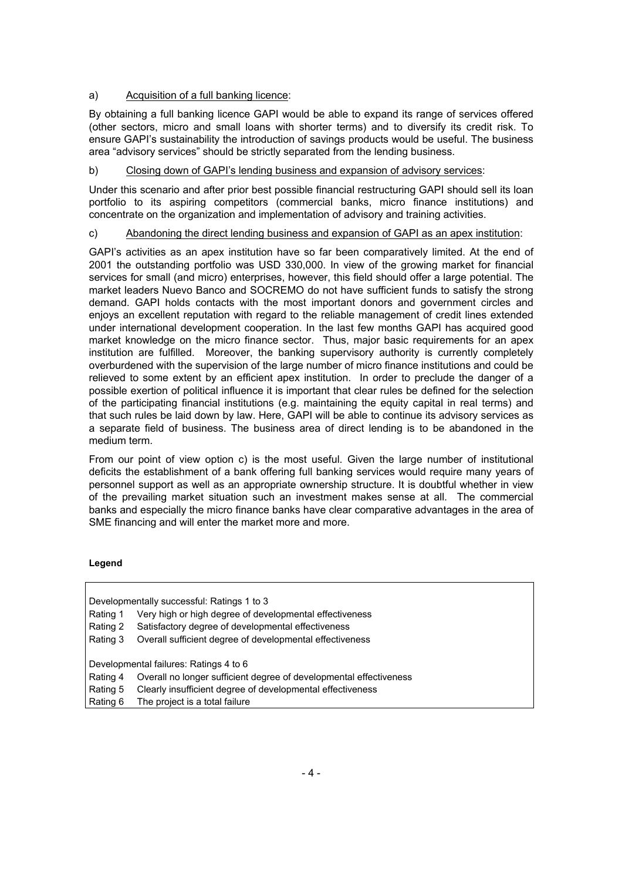## a) Acquisition of a full banking licence:

By obtaining a full banking licence GAPI would be able to expand its range of services offered (other sectors, micro and small loans with shorter terms) and to diversify its credit risk. To ensure GAPI's sustainability the introduction of savings products would be useful. The business area "advisory services" should be strictly separated from the lending business.

# b) Closing down of GAPI's lending business and expansion of advisory services:

Under this scenario and after prior best possible financial restructuring GAPI should sell its loan portfolio to its aspiring competitors (commercial banks, micro finance institutions) and concentrate on the organization and implementation of advisory and training activities.

# c) Abandoning the direct lending business and expansion of GAPI as an apex institution:

GAPI's activities as an apex institution have so far been comparatively limited. At the end of 2001 the outstanding portfolio was USD 330,000. In view of the growing market for financial services for small (and micro) enterprises, however, this field should offer a large potential. The market leaders Nuevo Banco and SOCREMO do not have sufficient funds to satisfy the strong demand. GAPI holds contacts with the most important donors and government circles and enjoys an excellent reputation with regard to the reliable management of credit lines extended under international development cooperation. In the last few months GAPI has acquired good market knowledge on the micro finance sector. Thus, major basic requirements for an apex institution are fulfilled. Moreover, the banking supervisory authority is currently completely overburdened with the supervision of the large number of micro finance institutions and could be relieved to some extent by an efficient apex institution. In order to preclude the danger of a possible exertion of political influence it is important that clear rules be defined for the selection of the participating financial institutions (e.g. maintaining the equity capital in real terms) and that such rules be laid down by law. Here, GAPI will be able to continue its advisory services as a separate field of business. The business area of direct lending is to be abandoned in the medium term.

From our point of view option c) is the most useful. Given the large number of institutional deficits the establishment of a bank offering full banking services would require many years of personnel support as well as an appropriate ownership structure. It is doubtful whether in view of the prevailing market situation such an investment makes sense at all. The commercial banks and especially the micro finance banks have clear comparative advantages in the area of SME financing and will enter the market more and more.

## **Legend**

| Developmentally successful: Ratings 1 to 3 |                                                                    |  |
|--------------------------------------------|--------------------------------------------------------------------|--|
| Rating 1                                   | Very high or high degree of developmental effectiveness            |  |
| Rating 2                                   | Satisfactory degree of developmental effectiveness                 |  |
| Rating 3                                   | Overall sufficient degree of developmental effectiveness           |  |
|                                            |                                                                    |  |
| Developmental failures: Ratings 4 to 6     |                                                                    |  |
| Rating 4                                   | Overall no longer sufficient degree of developmental effectiveness |  |
| Rating 5                                   | Clearly insufficient degree of developmental effectiveness         |  |
| Rating 6                                   | The project is a total failure                                     |  |